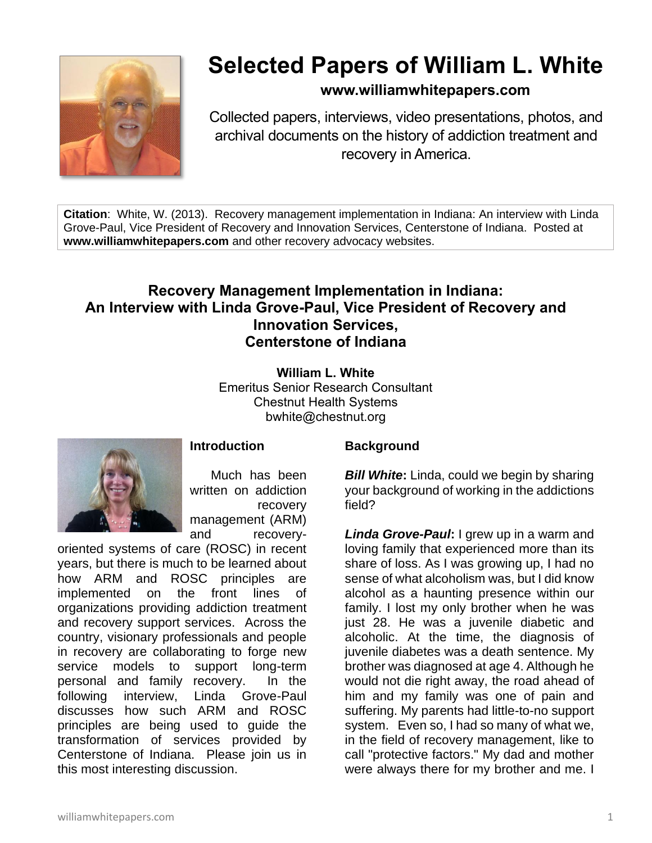

# **Selected Papers of William L. White**

### **www.williamwhitepapers.com**

Collected papers, interviews, video presentations, photos, and archival documents on the history of addiction treatment and recovery in America.

**Citation**: White, W. (2013). Recovery management implementation in Indiana: An interview with Linda Grove-Paul, Vice President of Recovery and Innovation Services, Centerstone of Indiana. Posted at **www.williamwhitepapers.com** and other recovery advocacy websites.

## **Recovery Management Implementation in Indiana: An Interview with Linda Grove-Paul, Vice President of Recovery and Innovation Services, Centerstone of Indiana**

**William L. White** Emeritus Senior Research Consultant Chestnut Health Systems bwhite@chestnut.org



**Introduction**

Much has been written on addiction recovery management (ARM) and recovery-

oriented systems of care (ROSC) in recent years, but there is much to be learned about how ARM and ROSC principles are implemented on the front lines of organizations providing addiction treatment and recovery support services. Across the country, visionary professionals and people in recovery are collaborating to forge new service models to support long-term personal and family recovery. In the following interview, Linda Grove-Paul discusses how such ARM and ROSC principles are being used to guide the transformation of services provided by Centerstone of Indiana. Please join us in this most interesting discussion.

#### **Background**

*Bill White***:** Linda, could we begin by sharing your background of working in the addictions field?

*Linda Grove-Paul***:** I grew up in a warm and loving family that experienced more than its share of loss. As I was growing up, I had no sense of what alcoholism was, but I did know alcohol as a haunting presence within our family. I lost my only brother when he was just 28. He was a juvenile diabetic and alcoholic. At the time, the diagnosis of juvenile diabetes was a death sentence. My brother was diagnosed at age 4. Although he would not die right away, the road ahead of him and my family was one of pain and suffering. My parents had little-to-no support system. Even so, I had so many of what we, in the field of recovery management, like to call "protective factors." My dad and mother were always there for my brother and me. I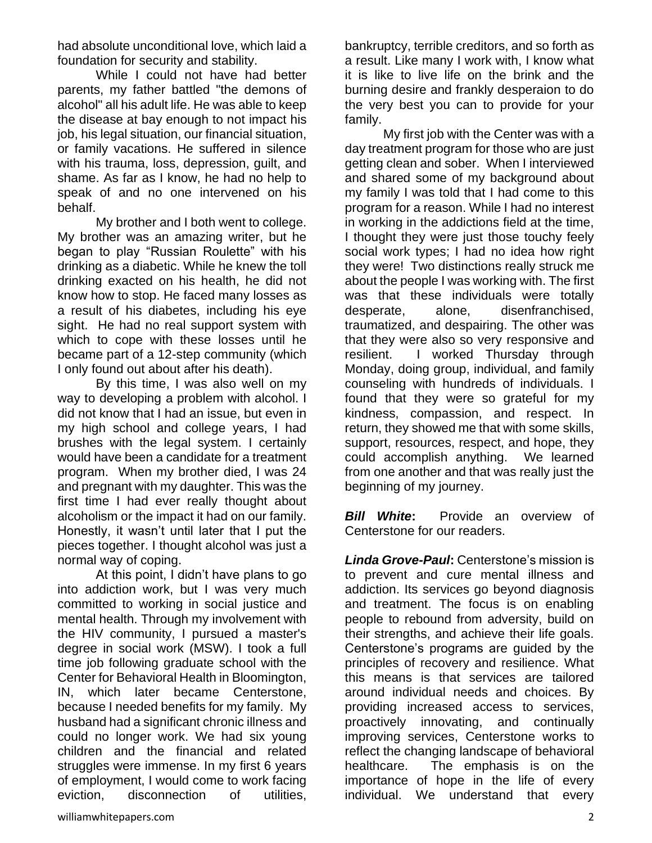had absolute unconditional love, which laid a foundation for security and stability.

While I could not have had better parents, my father battled "the demons of alcohol" all his adult life. He was able to keep the disease at bay enough to not impact his job, his legal situation, our financial situation, or family vacations. He suffered in silence with his trauma, loss, depression, guilt, and shame. As far as I know, he had no help to speak of and no one intervened on his behalf.

My brother and I both went to college. My brother was an amazing writer, but he began to play "Russian Roulette" with his drinking as a diabetic. While he knew the toll drinking exacted on his health, he did not know how to stop. He faced many losses as a result of his diabetes, including his eye sight. He had no real support system with which to cope with these losses until he became part of a 12-step community (which I only found out about after his death).

By this time, I was also well on my way to developing a problem with alcohol. I did not know that I had an issue, but even in my high school and college years, I had brushes with the legal system. I certainly would have been a candidate for a treatment program. When my brother died, I was 24 and pregnant with my daughter. This was the first time I had ever really thought about alcoholism or the impact it had on our family. Honestly, it wasn't until later that I put the pieces together. I thought alcohol was just a normal way of coping.

At this point, I didn't have plans to go into addiction work, but I was very much committed to working in social justice and mental health. Through my involvement with the HIV community, I pursued a master's degree in social work (MSW). I took a full time job following graduate school with the Center for Behavioral Health in Bloomington, IN, which later became Centerstone, because I needed benefits for my family. My husband had a significant chronic illness and could no longer work. We had six young children and the financial and related struggles were immense. In my first 6 years of employment, I would come to work facing eviction, disconnection of utilities,

bankruptcy, terrible creditors, and so forth as a result. Like many I work with, I know what it is like to live life on the brink and the burning desire and frankly desperaion to do the very best you can to provide for your family.

My first job with the Center was with a day treatment program for those who are just getting clean and sober. When I interviewed and shared some of my background about my family I was told that I had come to this program for a reason. While I had no interest in working in the addictions field at the time, I thought they were just those touchy feely social work types; I had no idea how right they were! Two distinctions really struck me about the people I was working with. The first was that these individuals were totally desperate, alone, disenfranchised, traumatized, and despairing. The other was that they were also so very responsive and resilient. I worked Thursday through Monday, doing group, individual, and family counseling with hundreds of individuals. I found that they were so grateful for my kindness, compassion, and respect. In return, they showed me that with some skills, support, resources, respect, and hope, they could accomplish anything. We learned from one another and that was really just the beginning of my journey.

*Bill White***:** Provide an overview of Centerstone for our readers.

*Linda Grove-Paul***:** Centerstone's mission is to prevent and cure mental illness and addiction. Its services go beyond diagnosis and treatment. The focus is on enabling people to rebound from adversity, build on their strengths, and achieve their life goals. Centerstone's programs are guided by the principles of recovery and resilience. What this means is that services are tailored around individual needs and choices. By providing increased access to services, proactively innovating, and continually improving services, Centerstone works to reflect the changing landscape of behavioral healthcare. The emphasis is on the importance of hope in the life of every individual. We understand that every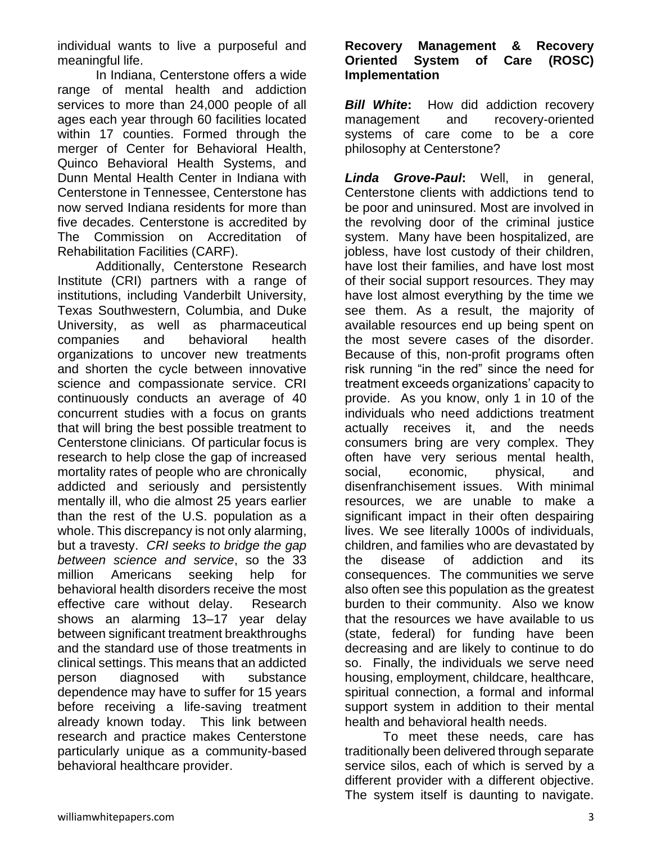individual wants to live a purposeful and meaningful life.

In Indiana, Centerstone offers a wide range of mental health and addiction services to more than 24,000 people of all ages each year through 60 facilities located within 17 counties. Formed through the merger of Center for Behavioral Health, Quinco Behavioral Health Systems, and Dunn Mental Health Center in Indiana with Centerstone in Tennessee, Centerstone has now served Indiana residents for more than five decades. Centerstone is accredited by The Commission on Accreditation of Rehabilitation Facilities (CARF).

Additionally, Centerstone Research Institute (CRI) partners with a range of institutions, including Vanderbilt University, Texas Southwestern, Columbia, and Duke University, as well as pharmaceutical companies and behavioral health organizations to uncover new treatments and shorten the cycle between innovative science and compassionate service. CRI continuously conducts an average of 40 concurrent studies with a focus on grants that will bring the best possible treatment to Centerstone clinicians. Of particular focus is research to help close the gap of increased mortality rates of people who are chronically addicted and seriously and persistently mentally ill, who die almost 25 years earlier than the rest of the U.S. population as a whole. This discrepancy is not only alarming, but a travesty. *CRI seeks to bridge the gap between science and service*, so the 33 million Americans seeking help for behavioral health disorders receive the most effective care without delay. Research shows an alarming 13–17 year delay between significant treatment breakthroughs and the standard use of those treatments in clinical settings. This means that an addicted person diagnosed with substance dependence may have to suffer for 15 years before receiving a life-saving treatment already known today. This link between research and practice makes Centerstone particularly unique as a community-based behavioral healthcare provider.

#### **Recovery Management & Recovery Oriented System of Care Implementation**

**Bill White:** How did addiction recovery management and recovery-oriented systems of care come to be a core philosophy at Centerstone?

*Linda Grove-Paul***:** Well, in general, Centerstone clients with addictions tend to be poor and uninsured. Most are involved in the revolving door of the criminal justice system. Many have been hospitalized, are jobless, have lost custody of their children, have lost their families, and have lost most of their social support resources. They may have lost almost everything by the time we see them. As a result, the majority of available resources end up being spent on the most severe cases of the disorder. Because of this, non-profit programs often risk running "in the red" since the need for treatment exceeds organizations' capacity to provide. As you know, only 1 in 10 of the individuals who need addictions treatment actually receives it, and the needs consumers bring are very complex. They often have very serious mental health, social, economic, physical, and disenfranchisement issues. With minimal resources, we are unable to make a significant impact in their often despairing lives. We see literally 1000s of individuals, children, and families who are devastated by the disease of addiction and its consequences. The communities we serve also often see this population as the greatest burden to their community. Also we know that the resources we have available to us (state, federal) for funding have been decreasing and are likely to continue to do so. Finally, the individuals we serve need housing, employment, childcare, healthcare, spiritual connection, a formal and informal support system in addition to their mental health and behavioral health needs.

To meet these needs, care has traditionally been delivered through separate service silos, each of which is served by a different provider with a different objective. The system itself is daunting to navigate.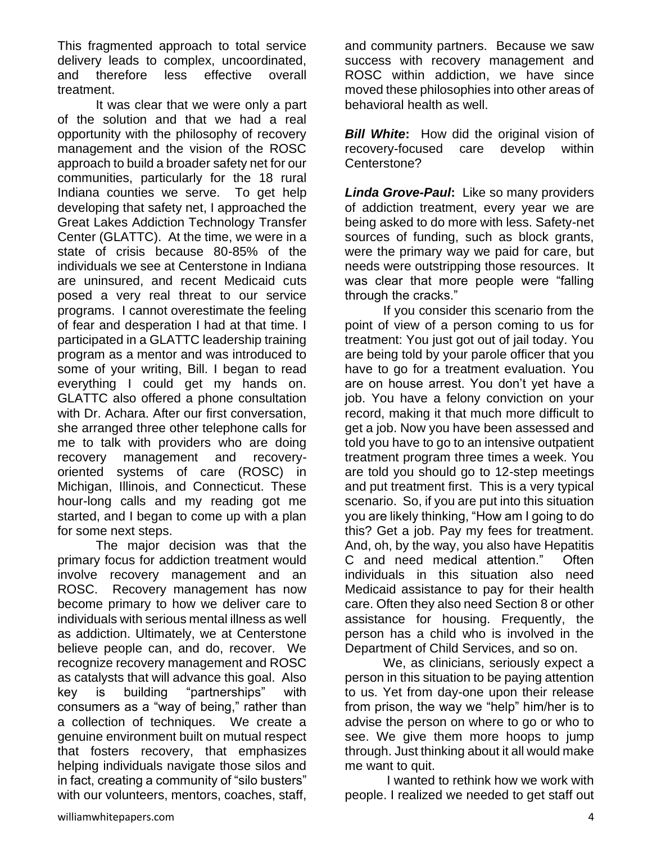This fragmented approach to total service delivery leads to complex, uncoordinated, and therefore less effective overall treatment.

It was clear that we were only a part of the solution and that we had a real opportunity with the philosophy of recovery management and the vision of the ROSC approach to build a broader safety net for our communities, particularly for the 18 rural Indiana counties we serve. To get help developing that safety net, I approached the Great Lakes Addiction Technology Transfer Center (GLATTC). At the time, we were in a state of crisis because 80-85% of the individuals we see at Centerstone in Indiana are uninsured, and recent Medicaid cuts posed a very real threat to our service programs. I cannot overestimate the feeling of fear and desperation I had at that time. I participated in a GLATTC leadership training program as a mentor and was introduced to some of your writing, Bill. I began to read everything I could get my hands on. GLATTC also offered a phone consultation with Dr. Achara. After our first conversation, she arranged three other telephone calls for me to talk with providers who are doing recovery management and recoveryoriented systems of care (ROSC) in Michigan, Illinois, and Connecticut. These hour-long calls and my reading got me started, and I began to come up with a plan for some next steps.

The major decision was that the primary focus for addiction treatment would involve recovery management and an ROSC. Recovery management has now become primary to how we deliver care to individuals with serious mental illness as well as addiction. Ultimately, we at Centerstone believe people can, and do, recover. We recognize recovery management and ROSC as catalysts that will advance this goal. Also key is building "partnerships" with consumers as a "way of being," rather than a collection of techniques. We create a genuine environment built on mutual respect that fosters recovery, that emphasizes helping individuals navigate those silos and in fact, creating a community of "silo busters" with our volunteers, mentors, coaches, staff,

and community partners. Because we saw success with recovery management and ROSC within addiction, we have since moved these philosophies into other areas of behavioral health as well.

**Bill White:** How did the original vision of recovery-focused care develop within Centerstone?

*Linda Grove-Paul***:** Like so many providers of addiction treatment, every year we are being asked to do more with less. Safety-net sources of funding, such as block grants, were the primary way we paid for care, but needs were outstripping those resources. It was clear that more people were "falling through the cracks."

If you consider this scenario from the point of view of a person coming to us for treatment: You just got out of jail today. You are being told by your parole officer that you have to go for a treatment evaluation. You are on house arrest. You don't yet have a job. You have a felony conviction on your record, making it that much more difficult to get a job. Now you have been assessed and told you have to go to an intensive outpatient treatment program three times a week. You are told you should go to 12-step meetings and put treatment first. This is a very typical scenario. So, if you are put into this situation you are likely thinking, "How am I going to do this? Get a job. Pay my fees for treatment. And, oh, by the way, you also have Hepatitis C and need medical attention." Often individuals in this situation also need Medicaid assistance to pay for their health care. Often they also need Section 8 or other assistance for housing. Frequently, the person has a child who is involved in the Department of Child Services, and so on.

We, as clinicians, seriously expect a person in this situation to be paying attention to us. Yet from day-one upon their release from prison, the way we "help" him/her is to advise the person on where to go or who to see. We give them more hoops to jump through. Just thinking about it all would make me want to quit.

I wanted to rethink how we work with people. I realized we needed to get staff out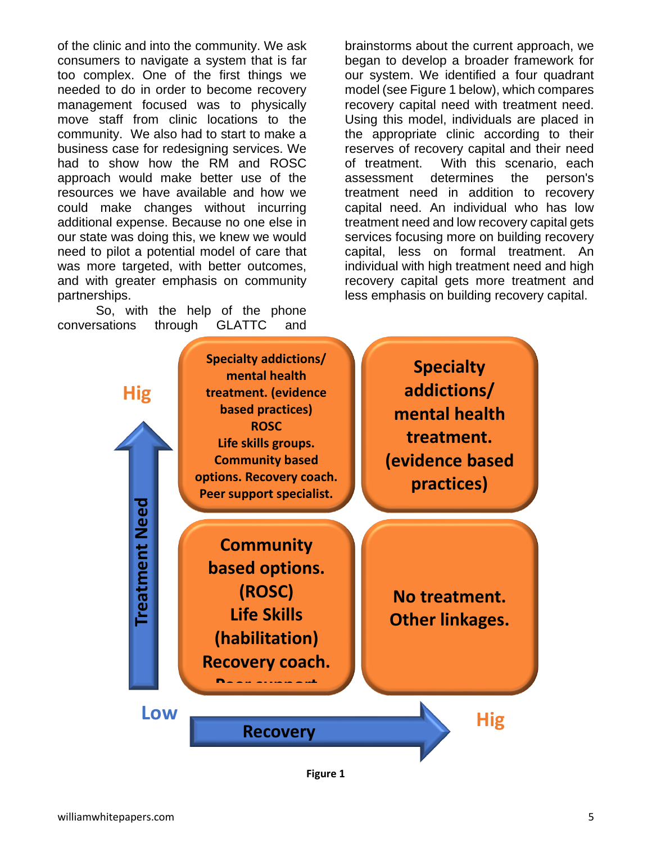of the clinic and into the community. We ask consumers to navigate a system that is far too complex. One of the first things we needed to do in order to become recovery management focused was to physically move staff from clinic locations to the community. We also had to start to make a business case for redesigning services. We had to show how the RM and ROSC approach would make better use of the resources we have available and how we could make changes without incurring additional expense. Because no one else in our state was doing this, we knew we would need to pilot a potential model of care that was more targeted, with better outcomes, and with greater emphasis on community partnerships.

So, with the help of the phone conversations through GLATTC and brainstorms about the current approach, we began to develop a broader framework for our system. We identified a four quadrant model (see Figure 1 below), which compares recovery capital need with treatment need. Using this model, individuals are placed in the appropriate clinic according to their reserves of recovery capital and their need of treatment. With this scenario, each assessment determines the person's treatment need in addition to recovery capital need. An individual who has low treatment need and low recovery capital gets services focusing more on building recovery capital, less on formal treatment. An individual with high treatment need and high recovery capital gets more treatment and less emphasis on building recovery capital.



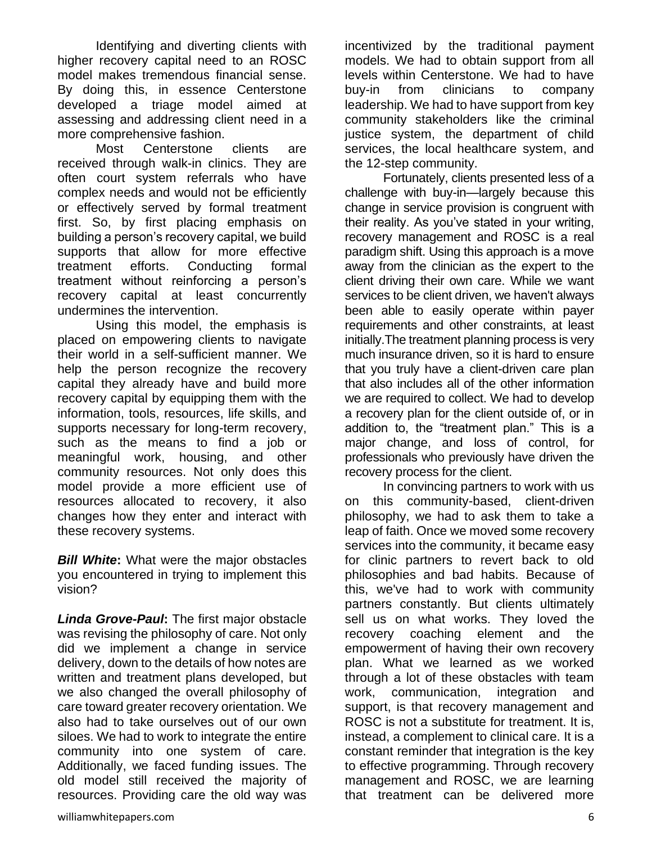Identifying and diverting clients with higher recovery capital need to an ROSC model makes tremendous financial sense. By doing this, in essence Centerstone developed a triage model aimed at assessing and addressing client need in a more comprehensive fashion.

Most Centerstone clients are received through walk-in clinics. They are often court system referrals who have complex needs and would not be efficiently or effectively served by formal treatment first. So, by first placing emphasis on building a person's recovery capital, we build supports that allow for more effective treatment efforts. Conducting formal treatment without reinforcing a person's recovery capital at least concurrently undermines the intervention.

Using this model, the emphasis is placed on empowering clients to navigate their world in a self-sufficient manner. We help the person recognize the recovery capital they already have and build more recovery capital by equipping them with the information, tools, resources, life skills, and supports necessary for long-term recovery, such as the means to find a job or meaningful work, housing, and other community resources. Not only does this model provide a more efficient use of resources allocated to recovery, it also changes how they enter and interact with these recovery systems.

*Bill White***:** What were the major obstacles you encountered in trying to implement this vision?

*Linda Grove-Paul***:** The first major obstacle was revising the philosophy of care. Not only did we implement a change in service delivery, down to the details of how notes are written and treatment plans developed, but we also changed the overall philosophy of care toward greater recovery orientation. We also had to take ourselves out of our own siloes. We had to work to integrate the entire community into one system of care. Additionally, we faced funding issues. The old model still received the majority of resources. Providing care the old way was

incentivized by the traditional payment models. We had to obtain support from all levels within Centerstone. We had to have buy-in from clinicians to company leadership. We had to have support from key community stakeholders like the criminal justice system, the department of child services, the local healthcare system, and the 12-step community.

Fortunately, clients presented less of a challenge with buy-in—largely because this change in service provision is congruent with their reality. As you've stated in your writing, recovery management and ROSC is a real paradigm shift. Using this approach is a move away from the clinician as the expert to the client driving their own care. While we want services to be client driven, we haven't always been able to easily operate within payer requirements and other constraints, at least initially.The treatment planning process is very much insurance driven, so it is hard to ensure that you truly have a client-driven care plan that also includes all of the other information we are required to collect. We had to develop a recovery plan for the client outside of, or in addition to, the "treatment plan." This is a major change, and loss of control, for professionals who previously have driven the recovery process for the client.

In convincing partners to work with us on this community-based, client-driven philosophy, we had to ask them to take a leap of faith. Once we moved some recovery services into the community, it became easy for clinic partners to revert back to old philosophies and bad habits. Because of this, we've had to work with community partners constantly. But clients ultimately sell us on what works. They loved the recovery coaching element and the empowerment of having their own recovery plan. What we learned as we worked through a lot of these obstacles with team work, communication, integration and support, is that recovery management and ROSC is not a substitute for treatment. It is, instead, a complement to clinical care. It is a constant reminder that integration is the key to effective programming. Through recovery management and ROSC, we are learning that treatment can be delivered more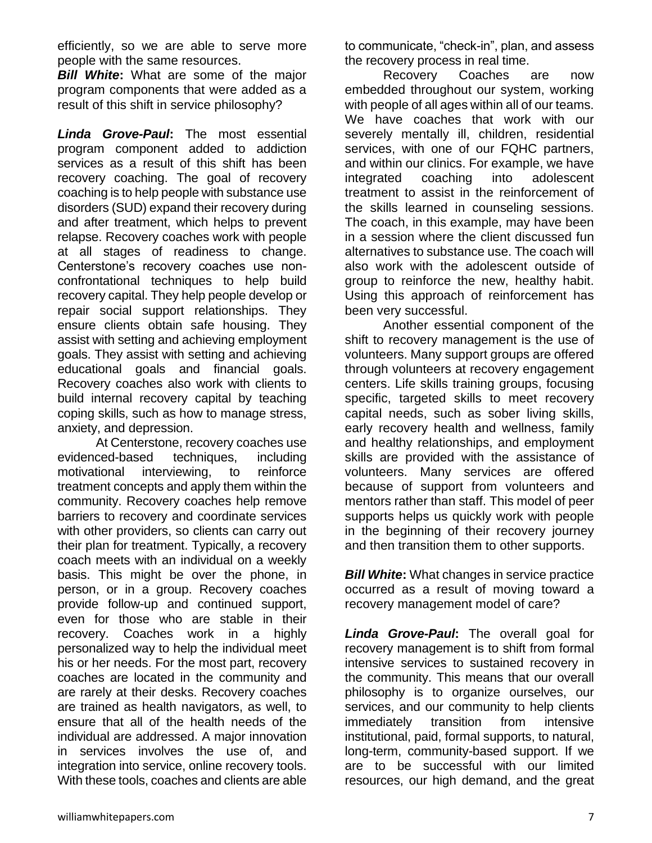efficiently, so we are able to serve more people with the same resources.

*Bill White***:** What are some of the major program components that were added as a result of this shift in service philosophy?

*Linda Grove-Paul***:** The most essential program component added to addiction services as a result of this shift has been recovery coaching. The goal of recovery coaching is to help people with substance use disorders (SUD) expand their recovery during and after treatment, which helps to prevent relapse. Recovery coaches work with people at all stages of readiness to change. Centerstone's recovery coaches use nonconfrontational techniques to help build recovery capital. They help people develop or repair social support relationships. They ensure clients obtain safe housing. They assist with setting and achieving employment goals. They assist with setting and achieving educational goals and financial goals. Recovery coaches also work with clients to build internal recovery capital by teaching coping skills, such as how to manage stress, anxiety, and depression.

At Centerstone, recovery coaches use evidenced-based techniques, including motivational interviewing, to reinforce treatment concepts and apply them within the community. Recovery coaches help remove barriers to recovery and coordinate services with other providers, so clients can carry out their plan for treatment. Typically, a recovery coach meets with an individual on a weekly basis. This might be over the phone, in person, or in a group. Recovery coaches provide follow-up and continued support, even for those who are stable in their recovery. Coaches work in a highly personalized way to help the individual meet his or her needs. For the most part, recovery coaches are located in the community and are rarely at their desks. Recovery coaches are trained as health navigators, as well, to ensure that all of the health needs of the individual are addressed. A major innovation in services involves the use of, and integration into service, online recovery tools. With these tools, coaches and clients are able

to communicate, "check-in", plan, and assess the recovery process in real time.

Recovery Coaches are now embedded throughout our system, working with people of all ages within all of our teams. We have coaches that work with our severely mentally ill, children, residential services, with one of our FQHC partners, and within our clinics. For example, we have integrated coaching into adolescent treatment to assist in the reinforcement of the skills learned in counseling sessions. The coach, in this example, may have been in a session where the client discussed fun alternatives to substance use. The coach will also work with the adolescent outside of group to reinforce the new, healthy habit. Using this approach of reinforcement has been very successful.

Another essential component of the shift to recovery management is the use of volunteers. Many support groups are offered through volunteers at recovery engagement centers. Life skills training groups, focusing specific, targeted skills to meet recovery capital needs, such as sober living skills, early recovery health and wellness, family and healthy relationships, and employment skills are provided with the assistance of volunteers. Many services are offered because of support from volunteers and mentors rather than staff. This model of peer supports helps us quickly work with people in the beginning of their recovery journey and then transition them to other supports.

*Bill White:* What changes in service practice occurred as a result of moving toward a recovery management model of care?

*Linda Grove-Paul***:** The overall goal for recovery management is to shift from formal intensive services to sustained recovery in the community. This means that our overall philosophy is to organize ourselves, our services, and our community to help clients immediately transition from intensive institutional, paid, formal supports, to natural, long-term, community-based support. If we are to be successful with our limited resources, our high demand, and the great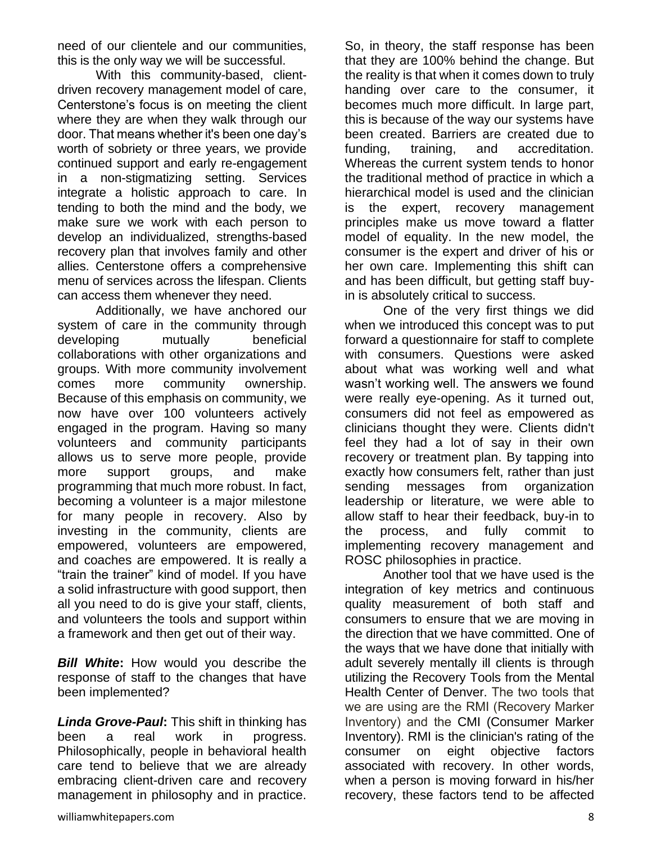need of our clientele and our communities, this is the only way we will be successful.

With this community-based, clientdriven recovery management model of care, Centerstone's focus is on meeting the client where they are when they walk through our door. That means whether it's been one day's worth of sobriety or three years, we provide continued support and early re-engagement in a non-stigmatizing setting. Services integrate a holistic approach to care. In tending to both the mind and the body, we make sure we work with each person to develop an individualized, strengths-based recovery plan that involves family and other allies. Centerstone offers a comprehensive menu of services across the lifespan. Clients can access them whenever they need.

Additionally, we have anchored our system of care in the community through developing mutually beneficial collaborations with other organizations and groups. With more community involvement comes more community ownership. Because of this emphasis on community, we now have over 100 volunteers actively engaged in the program. Having so many volunteers and community participants allows us to serve more people, provide more support groups, and make programming that much more robust. In fact, becoming a volunteer is a major milestone for many people in recovery. Also by investing in the community, clients are empowered, volunteers are empowered, and coaches are empowered. It is really a "train the trainer" kind of model. If you have a solid infrastructure with good support, then all you need to do is give your staff, clients, and volunteers the tools and support within a framework and then get out of their way.

*Bill White***:** How would you describe the response of staff to the changes that have been implemented?

*Linda Grove-Paul***:** This shift in thinking has been a real work in progress. Philosophically, people in behavioral health care tend to believe that we are already embracing client-driven care and recovery management in philosophy and in practice.

So, in theory, the staff response has been that they are 100% behind the change. But the reality is that when it comes down to truly handing over care to the consumer, it becomes much more difficult. In large part, this is because of the way our systems have been created. Barriers are created due to funding, training, and accreditation. Whereas the current system tends to honor the traditional method of practice in which a hierarchical model is used and the clinician is the expert, recovery management principles make us move toward a flatter model of equality. In the new model, the consumer is the expert and driver of his or her own care. Implementing this shift can and has been difficult, but getting staff buyin is absolutely critical to success.

One of the very first things we did when we introduced this concept was to put forward a questionnaire for staff to complete with consumers. Questions were asked about what was working well and what wasn't working well. The answers we found were really eye-opening. As it turned out, consumers did not feel as empowered as clinicians thought they were. Clients didn't feel they had a lot of say in their own recovery or treatment plan. By tapping into exactly how consumers felt, rather than just sending messages from organization leadership or literature, we were able to allow staff to hear their feedback, buy-in to the process, and fully commit to implementing recovery management and ROSC philosophies in practice.

Another tool that we have used is the integration of key metrics and continuous quality measurement of both staff and consumers to ensure that we are moving in the direction that we have committed. One of the ways that we have done that initially with adult severely mentally ill clients is through utilizing the Recovery Tools from the Mental Health Center of Denver. The two tools that we are using are the RMI (Recovery Marker Inventory) and the CMI (Consumer Marker Inventory). RMI is the clinician's rating of the consumer on eight objective factors associated with recovery. In other words, when a person is moving forward in his/her recovery, these factors tend to be affected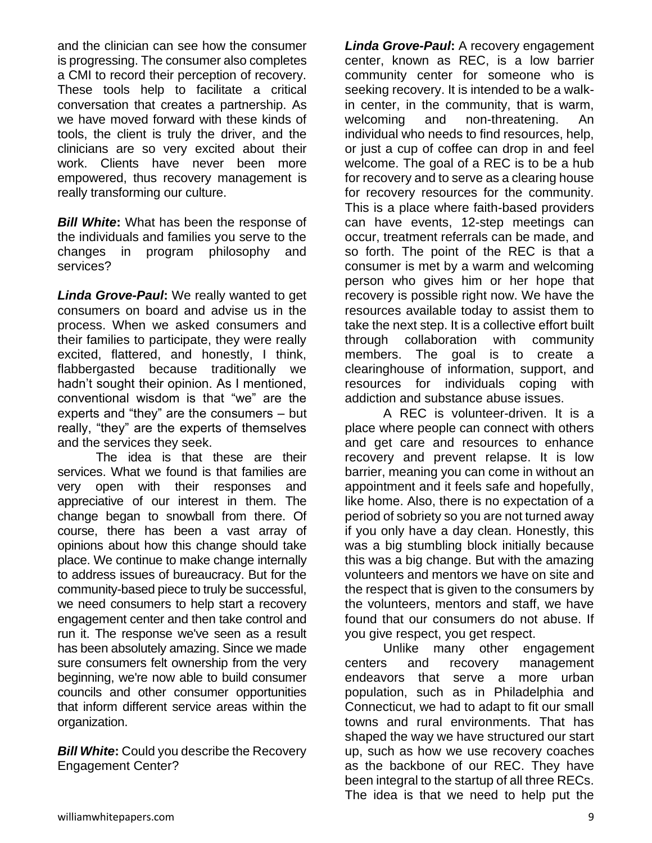and the clinician can see how the consumer is progressing. The consumer also completes a CMI to record their perception of recovery. These tools help to facilitate a critical conversation that creates a partnership. As we have moved forward with these kinds of tools, the client is truly the driver, and the clinicians are so very excited about their work. Clients have never been more empowered, thus recovery management is really transforming our culture.

*Bill White***:** What has been the response of the individuals and families you serve to the changes in program philosophy and services?

*Linda Grove-Paul***:** We really wanted to get consumers on board and advise us in the process. When we asked consumers and their families to participate, they were really excited, flattered, and honestly, I think, flabbergasted because traditionally we hadn't sought their opinion. As I mentioned, conventional wisdom is that "we" are the experts and "they" are the consumers – but really, "they" are the experts of themselves and the services they seek.

The idea is that these are their services. What we found is that families are very open with their responses and appreciative of our interest in them. The change began to snowball from there. Of course, there has been a vast array of opinions about how this change should take place. We continue to make change internally to address issues of bureaucracy. But for the community-based piece to truly be successful, we need consumers to help start a recovery engagement center and then take control and run it. The response we've seen as a result has been absolutely amazing. Since we made sure consumers felt ownership from the very beginning, we're now able to build consumer councils and other consumer opportunities that inform different service areas within the organization.

*Bill White***:** Could you describe the Recovery Engagement Center?

*Linda Grove-Paul***:** A recovery engagement center, known as REC, is a low barrier community center for someone who is seeking recovery. It is intended to be a walkin center, in the community, that is warm, welcoming and non-threatening. An individual who needs to find resources, help, or just a cup of coffee can drop in and feel welcome. The goal of a REC is to be a hub for recovery and to serve as a clearing house for recovery resources for the community. This is a place where faith-based providers can have events, 12-step meetings can occur, treatment referrals can be made, and so forth. The point of the REC is that a consumer is met by a warm and welcoming person who gives him or her hope that recovery is possible right now. We have the resources available today to assist them to take the next step. It is a collective effort built through collaboration with community members. The goal is to create a clearinghouse of information, support, and resources for individuals coping with addiction and substance abuse issues.

A REC is volunteer-driven. It is a place where people can connect with others and get care and resources to enhance recovery and prevent relapse. It is low barrier, meaning you can come in without an appointment and it feels safe and hopefully, like home. Also, there is no expectation of a period of sobriety so you are not turned away if you only have a day clean. Honestly, this was a big stumbling block initially because this was a big change. But with the amazing volunteers and mentors we have on site and the respect that is given to the consumers by the volunteers, mentors and staff, we have found that our consumers do not abuse. If you give respect, you get respect.

Unlike many other engagement centers and recovery management endeavors that serve a more urban population, such as in Philadelphia and Connecticut, we had to adapt to fit our small towns and rural environments. That has shaped the way we have structured our start up, such as how we use recovery coaches as the backbone of our REC. They have been integral to the startup of all three RECs. The idea is that we need to help put the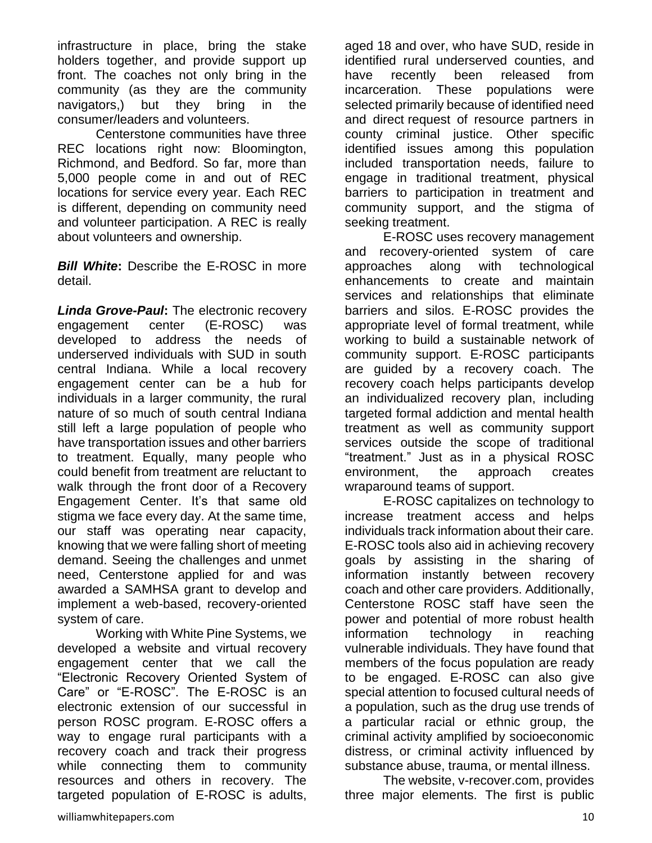infrastructure in place, bring the stake holders together, and provide support up front. The coaches not only bring in the community (as they are the community navigators,) but they bring in the consumer/leaders and volunteers.

Centerstone communities have three REC locations right now: Bloomington, Richmond, and Bedford. So far, more than 5,000 people come in and out of REC locations for service every year. Each REC is different, depending on community need and volunteer participation. A REC is really about volunteers and ownership.

*Bill White:* Describe the E-ROSC in more detail.

*Linda Grove-Paul***:** The electronic recovery engagement center (E-ROSC) was developed to address the needs of underserved individuals with SUD in south central Indiana. While a local recovery engagement center can be a hub for individuals in a larger community, the rural nature of so much of south central Indiana still left a large population of people who have transportation issues and other barriers to treatment. Equally, many people who could benefit from treatment are reluctant to walk through the front door of a Recovery Engagement Center. It's that same old stigma we face every day. At the same time, our staff was operating near capacity, knowing that we were falling short of meeting demand. Seeing the challenges and unmet need, Centerstone applied for and was awarded a SAMHSA grant to develop and implement a web-based, recovery-oriented system of care.

Working with White Pine Systems, we developed a website and virtual recovery engagement center that we call the "Electronic Recovery Oriented System of Care" or "E-ROSC". The E-ROSC is an electronic extension of our successful in person ROSC program. E-ROSC offers a way to engage rural participants with a recovery coach and track their progress while connecting them to community resources and others in recovery. The targeted population of E-ROSC is adults, aged 18 and over, who have SUD, reside in identified rural underserved counties, and have recently been released from incarceration. These populations were selected primarily because of identified need and direct request of resource partners in county criminal justice. Other specific identified issues among this population included transportation needs, failure to engage in traditional treatment, physical barriers to participation in treatment and community support, and the stigma of seeking treatment.

E-ROSC uses recovery management and recovery-oriented system of care approaches along with technological enhancements to create and maintain services and relationships that eliminate barriers and silos. E-ROSC provides the appropriate level of formal treatment, while working to build a sustainable network of community support. E-ROSC participants are guided by a recovery coach. The recovery coach helps participants develop an individualized recovery plan, including targeted formal addiction and mental health treatment as well as community support services outside the scope of traditional "treatment." Just as in a physical ROSC environment, the approach creates wraparound teams of support.

E-ROSC capitalizes on technology to increase treatment access and helps individuals track information about their care. E-ROSC tools also aid in achieving recovery goals by assisting in the sharing of information instantly between recovery coach and other care providers. Additionally, Centerstone ROSC staff have seen the power and potential of more robust health information technology in reaching vulnerable individuals. They have found that members of the focus population are ready to be engaged. E-ROSC can also give special attention to focused cultural needs of a population, such as the drug use trends of a particular racial or ethnic group, the criminal activity amplified by socioeconomic distress, or criminal activity influenced by substance abuse, trauma, or mental illness.

The website, v-recover.com, provides three major elements. The first is public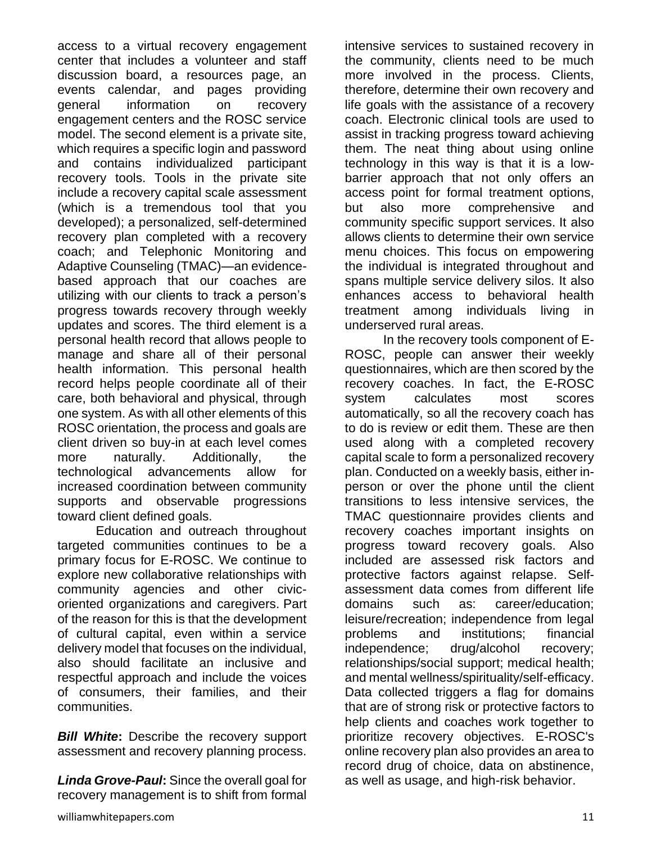access to a virtual recovery engagement center that includes a volunteer and staff discussion board, a resources page, an events calendar, and pages providing general information on recovery engagement centers and the ROSC service model. The second element is a private site, which requires a specific login and password and contains individualized participant recovery tools. Tools in the private site include a recovery capital scale assessment (which is a tremendous tool that you developed); a personalized, self-determined recovery plan completed with a recovery coach; and Telephonic Monitoring and Adaptive Counseling (TMAC)—an evidencebased approach that our coaches are utilizing with our clients to track a person's progress towards recovery through weekly updates and scores. The third element is a personal health record that allows people to manage and share all of their personal health information. This personal health record helps people coordinate all of their care, both behavioral and physical, through one system. As with all other elements of this ROSC orientation, the process and goals are client driven so buy-in at each level comes more naturally. Additionally, the technological advancements allow for increased coordination between community supports and observable progressions toward client defined goals.

Education and outreach throughout targeted communities continues to be a primary focus for E-ROSC. We continue to explore new collaborative relationships with community agencies and other civicoriented organizations and caregivers. Part of the reason for this is that the development of cultural capital, even within a service delivery model that focuses on the individual, also should facilitate an inclusive and respectful approach and include the voices of consumers, their families, and their communities.

*Bill White***:** Describe the recovery support assessment and recovery planning process.

*Linda Grove-Paul***:** Since the overall goal for recovery management is to shift from formal intensive services to sustained recovery in the community, clients need to be much more involved in the process. Clients, therefore, determine their own recovery and life goals with the assistance of a recovery coach. Electronic clinical tools are used to assist in tracking progress toward achieving them. The neat thing about using online technology in this way is that it is a lowbarrier approach that not only offers an access point for formal treatment options, but also more comprehensive and community specific support services. It also allows clients to determine their own service menu choices. This focus on empowering the individual is integrated throughout and spans multiple service delivery silos. It also enhances access to behavioral health treatment among individuals living in underserved rural areas.

In the recovery tools component of E-ROSC, people can answer their weekly questionnaires, which are then scored by the recovery coaches. In fact, the E-ROSC system calculates most scores automatically, so all the recovery coach has to do is review or edit them. These are then used along with a completed recovery capital scale to form a personalized recovery plan. Conducted on a weekly basis, either inperson or over the phone until the client transitions to less intensive services, the TMAC questionnaire provides clients and recovery coaches important insights on progress toward recovery goals. Also included are assessed risk factors and protective factors against relapse. Selfassessment data comes from different life domains such as: career/education; leisure/recreation; independence from legal problems and institutions; financial independence; drug/alcohol recovery; relationships/social support; medical health; and mental wellness/spirituality/self-efficacy. Data collected triggers a flag for domains that are of strong risk or protective factors to help clients and coaches work together to prioritize recovery objectives. E-ROSC's online recovery plan also provides an area to record drug of choice, data on abstinence, as well as usage, and high-risk behavior.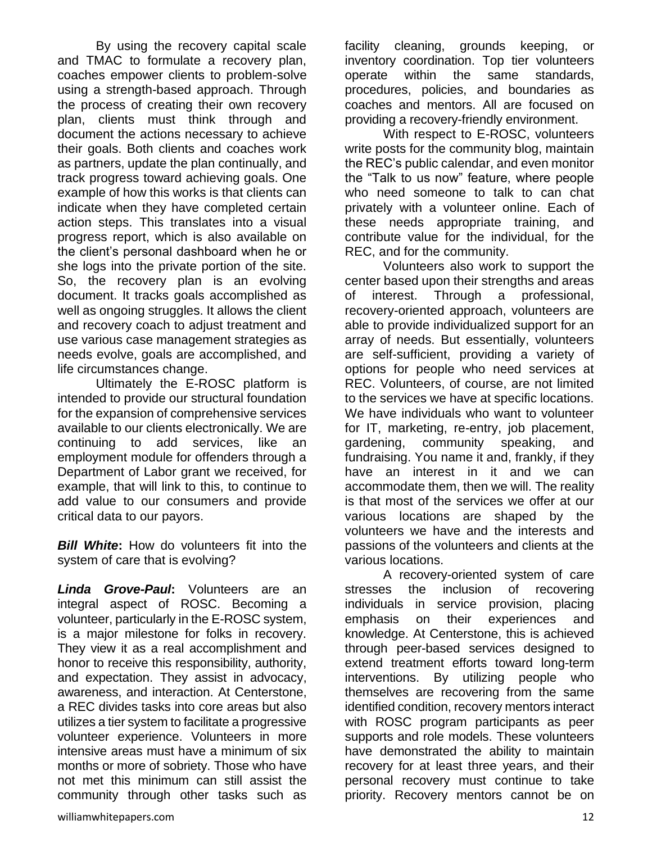By using the recovery capital scale and TMAC to formulate a recovery plan, coaches empower clients to problem-solve using a strength-based approach. Through the process of creating their own recovery plan, clients must think through and document the actions necessary to achieve their goals. Both clients and coaches work as partners, update the plan continually, and track progress toward achieving goals. One example of how this works is that clients can indicate when they have completed certain action steps. This translates into a visual progress report, which is also available on the client's personal dashboard when he or she logs into the private portion of the site. So, the recovery plan is an evolving document. It tracks goals accomplished as well as ongoing struggles. It allows the client and recovery coach to adjust treatment and use various case management strategies as needs evolve, goals are accomplished, and life circumstances change.

Ultimately the E-ROSC platform is intended to provide our structural foundation for the expansion of comprehensive services available to our clients electronically. We are continuing to add services, like an employment module for offenders through a Department of Labor grant we received, for example, that will link to this, to continue to add value to our consumers and provide critical data to our payors.

*Bill White***:** How do volunteers fit into the system of care that is evolving?

*Linda Grove-Paul***:** Volunteers are an integral aspect of ROSC. Becoming a volunteer, particularly in the E-ROSC system, is a major milestone for folks in recovery. They view it as a real accomplishment and honor to receive this responsibility, authority, and expectation. They assist in advocacy, awareness, and interaction. At Centerstone, a REC divides tasks into core areas but also utilizes a tier system to facilitate a progressive volunteer experience. Volunteers in more intensive areas must have a minimum of six months or more of sobriety. Those who have not met this minimum can still assist the community through other tasks such as

facility cleaning, grounds keeping, or inventory coordination. Top tier volunteers operate within the same standards, procedures, policies, and boundaries as coaches and mentors. All are focused on providing a recovery-friendly environment.

With respect to E-ROSC, volunteers write posts for the community blog, maintain the REC's public calendar, and even monitor the "Talk to us now" feature, where people who need someone to talk to can chat privately with a volunteer online. Each of these needs appropriate training, and contribute value for the individual, for the REC, and for the community.

Volunteers also work to support the center based upon their strengths and areas of interest. Through a professional, recovery-oriented approach, volunteers are able to provide individualized support for an array of needs. But essentially, volunteers are self-sufficient, providing a variety of options for people who need services at REC. Volunteers, of course, are not limited to the services we have at specific locations. We have individuals who want to volunteer for IT, marketing, re-entry, job placement, gardening, community speaking, and fundraising. You name it and, frankly, if they have an interest in it and we can accommodate them, then we will. The reality is that most of the services we offer at our various locations are shaped by the volunteers we have and the interests and passions of the volunteers and clients at the various locations.

A recovery-oriented system of care stresses the inclusion of recovering individuals in service provision, placing emphasis on their experiences and knowledge. At Centerstone, this is achieved through peer-based services designed to extend treatment efforts toward long-term interventions. By utilizing people who themselves are recovering from the same identified condition, recovery mentors interact with ROSC program participants as peer supports and role models. These volunteers have demonstrated the ability to maintain recovery for at least three years, and their personal recovery must continue to take priority. Recovery mentors cannot be on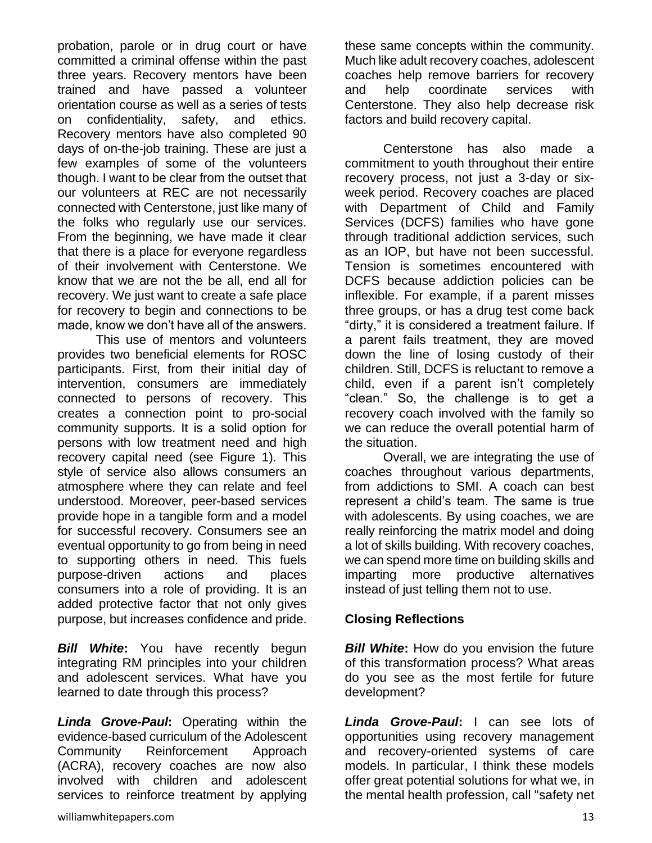probation, parole or in drug court or have committed a criminal offense within the past three years. Recovery mentors have been trained and have passed a volunteer orientation course as well as a series of tests on confidentiality, safety, and ethics. Recovery mentors have also completed 90 days of on-the-job training. These are just a few examples of some of the volunteers though. I want to be clear from the outset that our volunteers at REC are not necessarily connected with Centerstone, just like many of the folks who regularly use our services. From the beginning, we have made it clear that there is a place for everyone regardless of their involvement with Centerstone. We know that we are not the be all, end all for recovery. We just want to create a safe place for recovery to begin and connections to be made, know we don't have all of the answers.

This use of mentors and volunteers provides two beneficial elements for ROSC participants. First, from their initial day of intervention, consumers are immediately connected to persons of recovery. This creates a connection point to pro-social community supports. It is a solid option for persons with low treatment need and high recovery capital need (see Figure 1). This style of service also allows consumers an atmosphere where they can relate and feel understood. Moreover, peer-based services provide hope in a tangible form and a model for successful recovery. Consumers see an eventual opportunity to go from being in need to supporting others in need. This fuels purpose-driven actions and places consumers into a role of providing. It is an added protective factor that not only gives purpose, but increases confidence and pride.

*Bill White***:** You have recently begun integrating RM principles into your children and adolescent services. What have you learned to date through this process?

*Linda Grove-Paul***:** Operating within the evidence-based curriculum of the Adolescent Community Reinforcement Approach (ACRA), recovery coaches are now also involved with children and adolescent services to reinforce treatment by applying

these same concepts within the community. Much like adult recovery coaches, adolescent coaches help remove barriers for recovery and help coordinate services with Centerstone. They also help decrease risk factors and build recovery capital.

Centerstone has also made a commitment to youth throughout their entire recovery process, not just a 3-day or sixweek period. Recovery coaches are placed with Department of Child and Family Services (DCFS) families who have gone through traditional addiction services, such as an IOP, but have not been successful. Tension is sometimes encountered with DCFS because addiction policies can be inflexible. For example, if a parent misses three groups, or has a drug test come back "dirty," it is considered a treatment failure. If a parent fails treatment, they are moved down the line of losing custody of their children. Still, DCFS is reluctant to remove a child, even if a parent isn't completely "clean." So, the challenge is to get a recovery coach involved with the family so we can reduce the overall potential harm of the situation.

Overall, we are integrating the use of coaches throughout various departments, from addictions to SMI. A coach can best represent a child's team. The same is true with adolescents. By using coaches, we are really reinforcing the matrix model and doing a lot of skills building. With recovery coaches, we can spend more time on building skills and imparting more productive alternatives instead of just telling them not to use.

#### **Closing Reflections**

*Bill White:* How do you envision the future of this transformation process? What areas do you see as the most fertile for future development?

*Linda Grove-Paul***:** I can see lots of opportunities using recovery management and recovery-oriented systems of care models. In particular, I think these models offer great potential solutions for what we, in the mental health profession, call "safety net